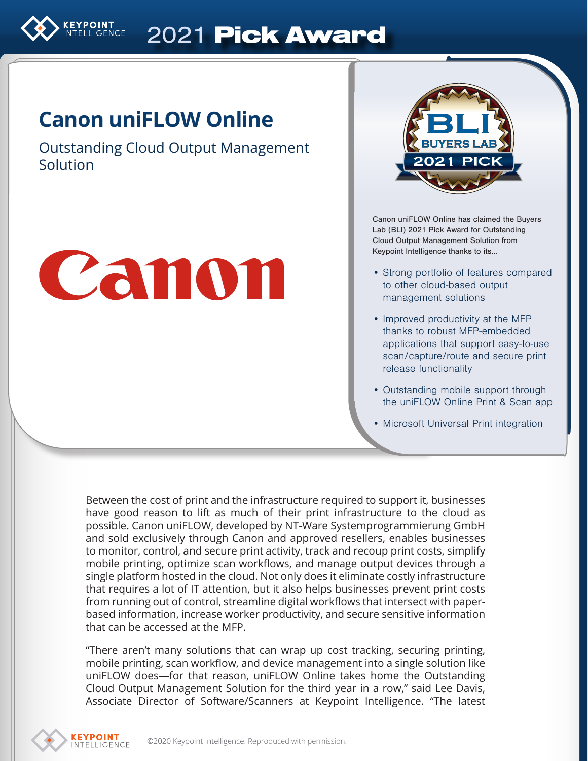

# 2021 Pick Award

# **Canon uniFLOW Online**

Outstanding Cloud Output Management Solution

# Canon



Canon uniFLOW Online has claimed the Buyers Lab (BLI) 2021 Pick Award for Outstanding Cloud Output Management Solution from Keypoint Intelligence thanks to its…

- Strong portfolio of features compared to other cloud-based output management solutions
- Improved productivity at the MFP thanks to robust MFP-embedded applications that support easy-to-use scan/capture/route and secure print release functionality
- Outstanding mobile support through the uniFLOW Online Print & Scan app
- Microsoft Universal Print integration

Between the cost of print and the infrastructure required to support it, businesses have good reason to lift as much of their print infrastructure to the cloud as possible. Canon uniFLOW, developed by NT-Ware Systemprogrammierung GmbH and sold exclusively through Canon and approved resellers, enables businesses to monitor, control, and secure print activity, track and recoup print costs, simplify mobile printing, optimize scan workflows, and manage output devices through a single platform hosted in the cloud. Not only does it eliminate costly infrastructure that requires a lot of IT attention, but it also helps businesses prevent print costs from running out of control, streamline digital workflows that intersect with paperbased information, increase worker productivity, and secure sensitive information that can be accessed at the MFP.

"There aren't many solutions that can wrap up cost tracking, securing printing, mobile printing, scan workflow, and device management into a single solution like uniFLOW does—for that reason, uniFLOW Online takes home the Outstanding Cloud Output Management Solution for the third year in a row," said Lee Davis, Associate Director of Software/Scanners at Keypoint Intelligence. "The latest